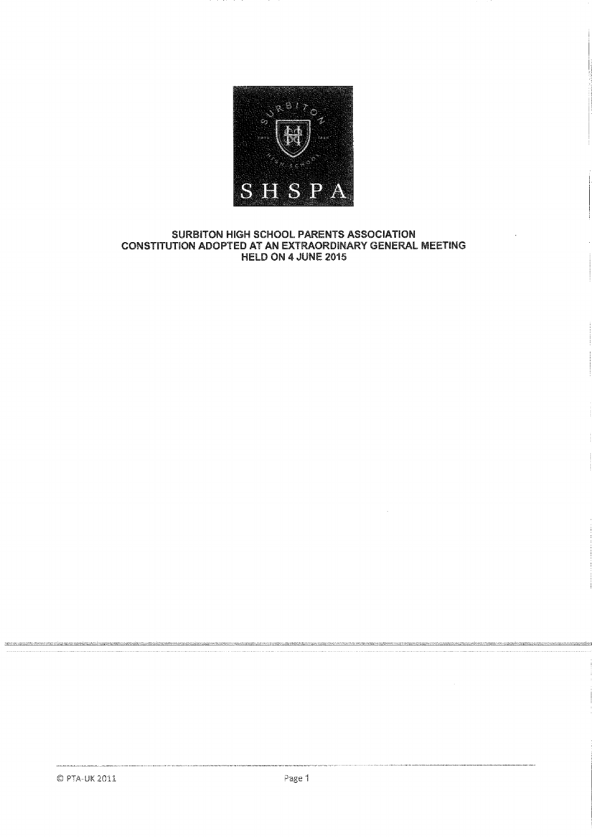

#### **SURBITON HIGH SCHOOL PARENTS ASSOCIATION CONSTITUTION ADOPTED AT AN EXTRAORDINARY GENERAL MEETING HELD ON 4 JUNE 2015**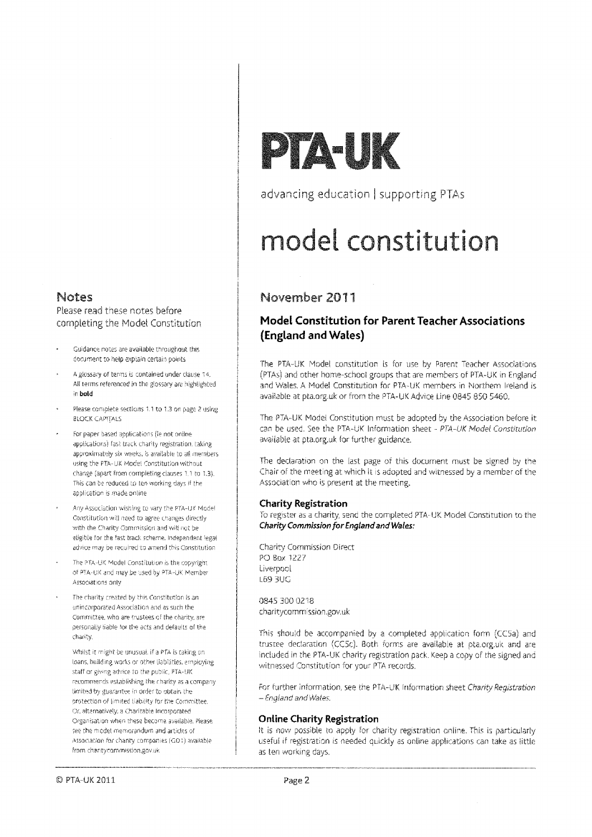#### Notes

Nease read these notes before completing the Model Constitution

- Guidance notes are available throughout this document to help explain certain points
- A glossary of terms *is* contained under clause S4. Alf terms referenced in the glossary are highlighted in boid
- Please complete sections 1.1 to 1.3 on page 2 using BLOCK CAPITALS
- For paper based applications (le not onfine applications) fast track charity registration. Laking approximately six weeks, is available to all members. using the PlIA-Llt Model Constitution without change (apart from completing clauses 1.1 to 1.3), This can be reduced to ten working days if the application is made online
- Any Association wishing to vary the PTA-UK Model Constitution will need to agree cnanges directly with the Charity Commission and will not be eligible for the fast track scheme. Independent legal adore may be required to amend this Constitution
- The PTA-UK Model Constitution is the copyright of PIA-UK and may be used by PTA-1J4 Member Associations only
- The charity created by this Constitution is an unincorporated Association and as such the Committee, who are trustees of the charity, are personally liable for the acts and defaults of the charity,

'Whj[st it might be unusual. if a PTA is taking on loans, building works or other liabilities, employing staff or giving advice to the pubiic, PTA-UK recommends establishing the charity as a company limited by guarantee in order to putain the protection of limited liability for tie Committee, Or, alternatively, a Charitable Incorporated Organisation when these become available. please see the model memorandum and articles of Association for chariry companies IC01) available from charitycommission.gov.uk

# **PTA UK**

advancing education | supporting PTAs

## **modet constitution**

### November 2011

#### **Model Constitution for Parent Teacher Associations (England and Wales)**

The PTA-UK Model constitution is for use by Parent Teacher Associations (PTAs) and other home-schoci groups that are members of PTA-UK in England and Wales. A Model Constitution for PTA-UK members in Northern Ireland is available at pta.org.uk or from the PTA-UK Advice Line 0845 850 5460.

The PTA-UK Model Constitution must be adopted by the Association before it can be used. See the PTA-UK Information sheet - PTA-UK Model Constitution available at pta,org.uk for further guidance.

The declaration on the last page of this document must be signed by the Chair of the meeting at which it is adopted and witnessed by a member of the Association who is present at the meeting.

#### **Charity Registration**

to register as a charity, send the completed PTA-UK Model Constitution to the Charity Commission for England and Wales:

Charity Commission Direct PC.) Box 1227 Liverpool L69 I3UC

0845 300 0218 charitycommission.gov.uk

This should be accompanied by a completed application form (CC5a) and trustee declaration (CC5c). Both forms are available at pta.org.uk and are included in the PTA-UK charity registration pack. Keep a copy of the signed and witnessed Constitution for your PTA records.

For further information, see the PTA-UK Information sheet Charity Registration - England and Wales,

#### **Online Charity Registration**

It is now possible to apply for charity registration online. This is particularly useful if registration is needed quickly as online applications can take as little as ten working days.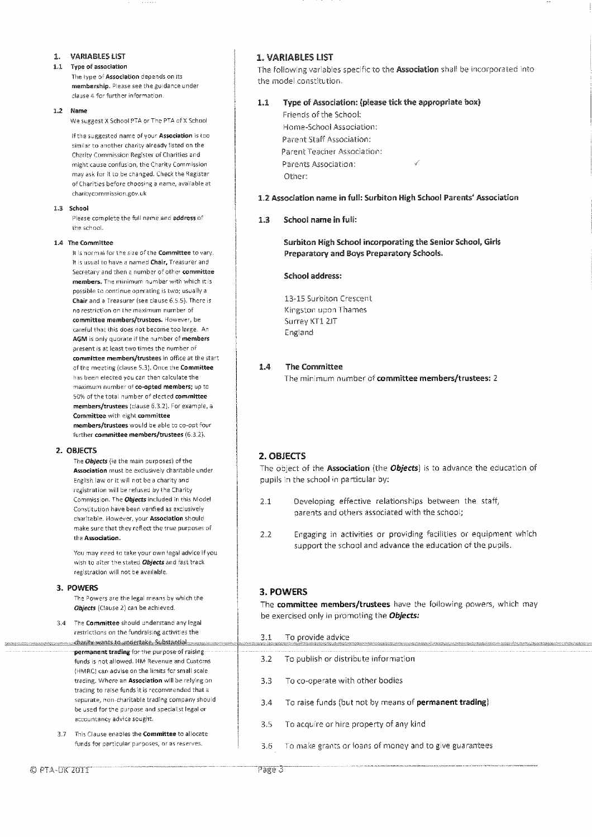- **1. VARIABLES LIST**
- **1.1 Type of association**

The type of **Association** depends on its **membership.** Please see the guidance under clause 4 for further information.

**1.2 Name** 

We suggest X School PTA or The PTA of X School

If the suggested name of your **Association** is too similar to another charity already listed on the Charity Commission Register of Charities and might cause confusion, the Charity Commission may ask for it to be changed. Check the Register of Charities before choosing a name, available at charitycommission.gov.uk

#### **1.3** School

Please complete the full name and address of the school.

#### **1.4 The Committee**

Isis normal for the size of the **Committee** to vary. It is usual to have a named **Chair.** Treasurer and Secretary and then a number of other **committee members.** The minimum number with which it is possible fa continue operating is two; usually a **Chair** and a Treasurer (see clause 6.5,5). There is no restriction on the maximum number of **committee members/trustees.** However, be careful that this does not become too large. An **AGM** is only quorate if the number of **members**  present is at least two times the number of **committee members/trustees** in office at the start of the meeting (clause 5.3). Once the **Committee**  has been elected you can then calculate the maximum number of **co-opted members;** up to 50% of the total number of elected **committee members/trustees (clause** 6.3.21. For example, a **Committee** with eight **committee members/trustees** would be able to co-opt four further **committee** members/trustees (6.3.2).

#### **2. OBJECTS**

The Objects (ie the main purposes) of the **Association** must be exclusively charitable under English law or it will not be a charity and registration will be refused by the Charity Commission. The Objects included in this Model Constitution have been verified as exclusively charitable. however, your **Association** should make sure that they reflect the true purposes of the **Association.** 

You may need to take your own legal advice if you wish to alter the stated **Objects** and fast track registration will not be available.

#### **3. POWERS**

The Powers are the legal means by which the **Objects** (Clause 2) can be achieved.

- 3.4 The **Committee** should understand any legal restrictions on the fundraising activities the <u>edasity wants to undertake. Substantial mass</u> permanent trading for the purpose of raising funds is not allowed. HM Revenue and Customs (HMRC) can advise on the limits for small scale trading. Where an **Association** will be relying on trading to raise funds it is recommended that a separate, non-charitable trading company should be used for the purpose and specialist legal or accountancy advice sought.
- 3.7 This Clause enables the **Committee** to allocate funds for particular purposes, or as reserves.

#### **1. VARIABLES LIST**

The following variables specific to the **Association** shall be incorporated into the model constitution.

#### 1.1 **Type of Association: (please tick the appropriate box)**

Friends of the School: Home-School Association: Parent Staff Association: Parent Teacher Association: Parents Association: Other:

#### **1.2 Association name in full: Surbiton High School Parents' Association**

#### **1.3 School name in full:**

**Surbiton High School incorporating the Senior School, Girls Preparatory and Boys Preparatory Schools.** 

#### **School address:**

13-15 Surbiton Crescent Kingston upon Thames Surrey KT1 2JT England

#### **1.4 The Committee**

The minimum number of **committee members/trustees:** 2

#### **2. OBJECTS**

The object of the **Association** (the Objects) is to advance the education of pupils in the school in particular by:

- 2.1 Developing effective relationships between the staff, parents and others associated with the school;
- 2.2 Engaging in activities or providing facilities or equipment which support the school and advance the education of the pupils.

#### **3. POWERS**

The **committee members/trustees** have the following powers, which may be exercised only in promoting the Objects:

| 3.1  | To provide advice<br>http://www.accommodia.com/www.accommodia.com/www.accommodia.com/www.accommodia.com/www.accommodia.html |
|------|-----------------------------------------------------------------------------------------------------------------------------|
| 3.2  | To publish or distribute information                                                                                        |
| -3.3 | To co-operate with other bodies                                                                                             |
| 3.4  | To raise funds (but not by means of <b>permanent trading</b> )                                                              |
| 3.5  | To acquire or hire property of any kind                                                                                     |
|      | 3.6 To make grants or loans of money and to give guarantees                                                                 |
|      |                                                                                                                             |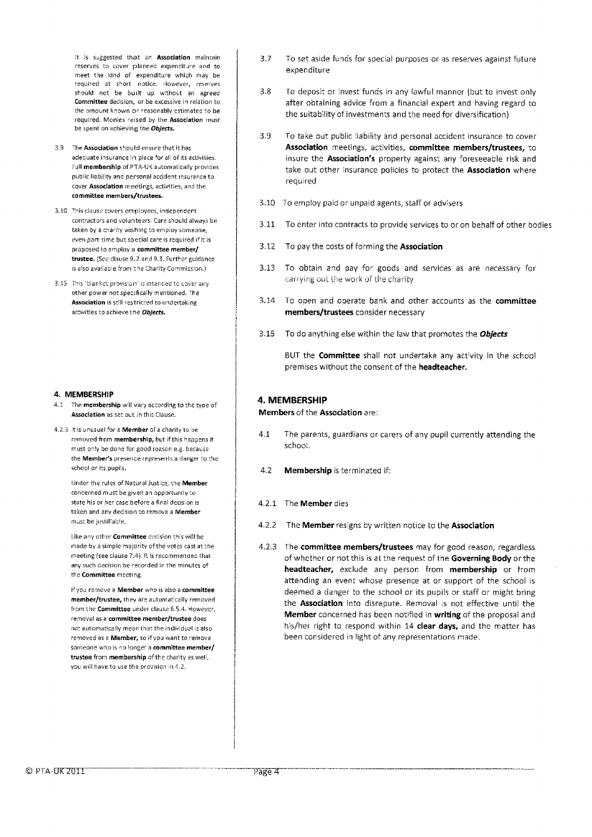It is suggested that an **Association** maintain reserves to cover planned expenditure and to meet the kind of expenditure which may be required at short notice. However, reserves should not be built up without an agreed **Committee** decision, or be excessive in relation to the amount known or reasonably estimated to be required. Monies raised by the **Association** must be spent on achieving the **Objects.** 

- 3,9 The **Association** should ensure that it has adequate insurance in place for all of its activities. Full **membership** of PTA-UK automatically provides public liability and personal accident insurance to cover **Association** meetings, activities, and the **committee members/trustees.**
- 3.10 This clause covers employees, independent contractors and volunteers. Care should always be taken by a charity wishing to employ someone, even part-time but special care is required if it is proposed to employ a **committee member/ trustee. (See** clause 9.2 and 9.3. Further guidance is also available from the Charity Commission.)
- 3.15 This 'blanket provision' is intended to cover any other power not specifically mentioned. The **Association is** still restricted to undertaking activities to achieve the **Objects.**

#### **4. MEMBERSHIP**

- 4.1 The **membership** will vary according to the type of **Association** as set out in this Clause.
- 4.2.3 It is unusual for a **Member** of a charity to be removed from **membership,** but if this happens it must only be done for good reason e.g. because the **Member's** presence represents a danger to the school or its pupils.

Under the rules of Natural Justice, the **Member**  concerned must be given an opportunity to state his or her case before a final decision is taken and any decision to remove a **Member**  must be justifiable.

Like any other **Committee** decision this will be made by a simple majority of the votes cast at the meeting (see clause 7.4). It is recommended that any such decision be recorded in the minutes of the **Committee** meeting.

If you remove a **Member** who is also a **committee member/trustee,** they are automatically removed from the **Committee** under clause 6.6.4. However, removal as a **committee member/trustee** does not automatically mean that the individual is also removed as a **Member,** so if you want to remove someone who is no longer a **committee member/ trustee** from **membership** of the charity as well, you will have to use the provision in 4.2.

- 3.7 To set aside funds for special purposes or as reserves against future expenditure
- 3.8 To deposit or invest funds in any lawful manner (but to invest only after obtaining advice from a financial expert and having regard to the suitability of investments and the need for diversification)
- 3.9 To take out public liability and personal accident insurance to cover **Association** meetings, activities, **committee members/trustees,** to insure the **Association's** property against any foreseeable risk and take out other insurance policies to protect the **Association** where required
- 3.10 To employ paid or unpaid agents, staff or advisers
- 3.11 To enter into contracts to provide services to or on behalf of other bodies
- 3.12 To pay the costs of forming the **Association**
- 3.13 To obtain and pay for goods and services as are necessary for **carrying out** the work of the charity
- 3.14 To open and operate bank and other accounts as the **committee members/trustees** consider necessary
- 3.15 To do anything else within the law that promotes the **Objects**

BUT the **Committee** shall not undertake any activity in the school premises without the consent of the **headteacher.** 

#### **4. MEMBERSHIP**

**Members** of the **Association** are:

- 4.1 The parents, guardians or carers of any pupil currently attending the school.
- 4.2 **Membership** is terminated if:
- 4.2.1 The **Member** dies
- 4,2.2 The **Member** resigns by written notice to the **Association**
- 4.2.3 The **committee members/trustees** may for good reason, regardless of whether or not this is at the request of the **Governing Body** or the **headteacher,** exclude any person from **membership** or from attending an event whose presence at or support of the school is deemed a danger to the school or its pupils or staff or might bring the **Association** into disrepute. Removal is not effective until the **Member** concerned has been notified in **writing** of the proposal and his/her right to respond within 14 **clear days,** and the matter has been considered in light of any representations made.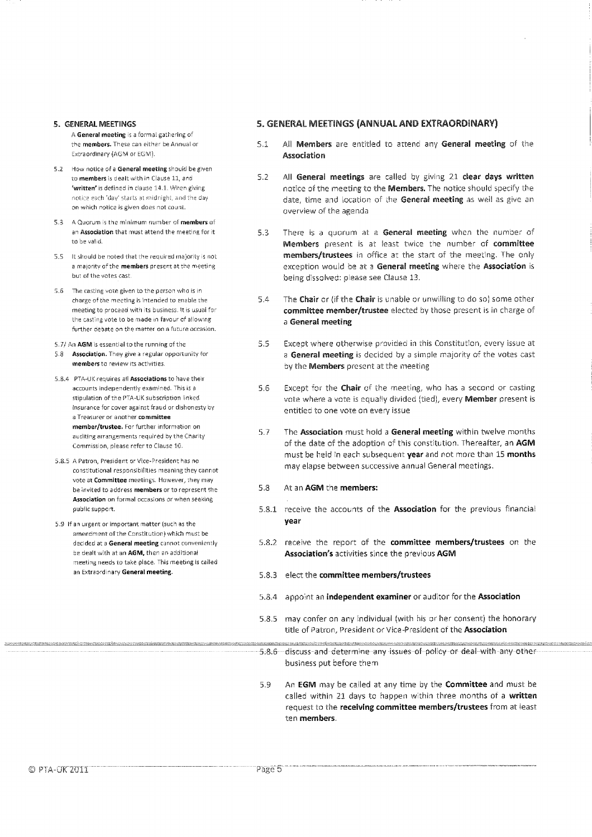- A General meeting is a formal gathering of Extraordinary (AGM or EGM). **Association**
- 5.2 How notice of a General meeting should be given to members is dealt with in Clause 11, and 'written' is defined in clause 14.1. When giving notice each 'day starts at midnight, and the day on which notice is given does not count.
- 5.3 A Quorum is the minimum number of members of an Association that must attend the meeting for it to be valid.
- 5.5 It should be noted that the required majority is not a majority of the members present at the meeting but of the votes cast,
- 5.6 The casting vote given to the person who is in charge of the meeting is intended to enable the meeting to proceed with its business. It is usual for the casting vote to be made in favour of allowing further debate on the matter on a future occasion.
- 5.7/ An AGM is essential to the running of the
- 5.8 Association. They give a regular opportunity for members to review its activities.
- 5.8.4 PTA-UK requires all Associations to have their accounts independently examined. This is a stipulation of the PTA-UK subscription linked insurance for cover against fraud or dishonesty by a Treasurer or another committee member/trustee. For further information on auditing arrangements required by the Charity Commission, please refer to Clause 10.
- 5.8.5 A Patron, President or Vice-President has no constitutional responsibilities meaning they cannot vote at Committee meetings. However, they may be invited to address members or to represent the Association on formal occasions or when seeking public support.
- 5.9 If an urgent or important matter (such as the amendment of the Constitution) which must be decided at a General meeting cannot conveniently be dealt with at an AGM, then an additional meeting needs to take place. This meeting is called an Extraordinary General meeting.

#### **5. GENERAL MEETINGS 5. GENERAL MEETINGS (ANNUAL AND EXTRAORDINARY)**

- the members. These can either be Annual or 5.1 All **Members** are entitled to attend any **General meeting** of the
	- 5.2 All **General meetings** are called by giving 21 **clear days written**  notice of the meeting to the **Members.** The notice should specify the date, time and location of the **General meeting** as well as give an overview of the agenda
	- 5.3 There is a quorum at a **General meeting** when the number of **Members** present is at least twice the number **of committee members/trustees** in office at the start of the meeting. The only exception would be at a **General meeting** where the **Association** is being dissolved: please see Clause 13.
	- 5.4 The **Chair** or {if the **Chair** is unable or unwilling to do so) some other **committee member/trustee** elected by those present is in charge of a **General meeting**
	- 5.5 Except where otherwise provided in this Constitution, every issue at <sup>a</sup>**General meeting** is decided by a simple majority of the votes cast by the **Members** present at the meeting
	- 5.6 Except for the **Chair** of the meeting, who has a second or casting vote where a vote is equally divided (tied), every **Member** present is entitled to one vote on every issue
	- 5.7 The **Association** must hold a **General meeting** within twelve months of the date of the adoption of this constitution. Thereafter, an **AGM**  must be held in each subsequent **year** and not more than 15 **months**  may elapse between successive annual General meetings.

#### 5.8 At an **AGM** the **members:**

- 5.8.1 receive the accounts of the **Association** for the previous financial **year**
- 5.8.2 receive the report of the **committee members/trustees** on the **Association's** activities since the previous **AGM**
- 5.8.3 elect the **committee members/trustees**

- 5.8.4 appoint an **independent examiner** or auditor for the **Association**
- 5.8.5 may confer on any individual (with his or her consent) the honorary title of Patron, President or Vice-President of the **Association**
- 5.8.6 discuss and determine any issues of policy or deal with any other business put before them
- 5.9 **An [GM** may be called at any time by the **Committee** and must be called within 21 days to happen within three months of a **written**  request to the **receiving committee members/trustees** from at least ten **members.**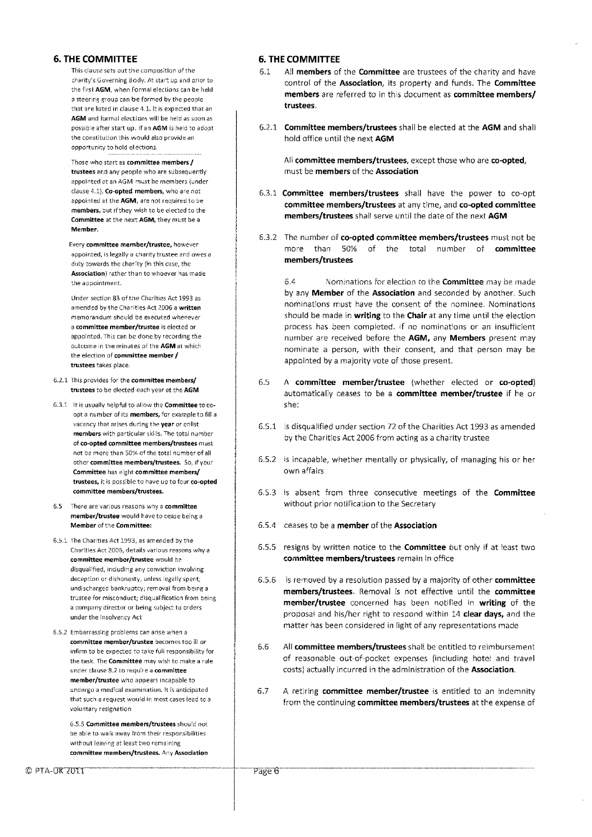#### **6. THE COMMITTEE**

This clause sets out the composition of the charity's Governing Body. At start up and prior to the first **AGM,** when formal elections can be held a steering group can be formed by the people that are listed in clause 4.1. It is expected that an AGM and formal elections will be held as soon as possible after start up. If an **AGM** is held to adopt the constitution this would also provide an opportunity to hold elections,

<sup>i</sup>Those who start as **committee members / trustees** and any people who are subsequently appointed at an AGM must be members (under clause 4.1}. **Co-opted members,** who are not appointed at the **AGM,** are not required to be **members,** but if they wish to be elected to the **Committee** at the next **AGM,** they must be a **Member.** 

Every **committee member/trustee,** however appointed, is legally a charity trustee and owes a duty towards the charity (in this case, the **Association)** rather than to whoever has made the appointment.

Under section 83 of the Charities Act 1993 as amended by the Charities Act 2006 a **written**  memorandum should be executed whenever <sup>a</sup>**committee member/trustee** is elected or appointed. This can be done by recording the Outcome in the minutes of the **AGM** at which the election of committee **member / trustees** takes place.

- 6.2.1 This provides for the **committee members/ trustees** to be elected each year at the **AGM**
- 6.3.1 It is usually helpful to allovv the **Committee** to coopt a number of its **members,** for example to fill a vacancy that arises during the **year** or enlist **members** with particular skills. The total number of **co-opted committee members/trustees** must not be more than 50% of the total number of all other **committee members/trustees.** So, if your **Committee** has eight **committee members/ trustees, it** is possible to have up to four **co-opted committee members/trustees.**
- 6.5 There are various reasons why a **committee member/trustee** would have to cease being a **Member** of the **Committee:**
- 6.5.1 The Charities Act 1993, as amended by the Charities Act 2055, details various reasons why a **committee member/trustee** would be disqualified, including any conviction involving deception or dishonesty, unless legally spent: undischarged bankruptcy; removal from being a trustee for misconduct; disqualification from being a company director or being subject to orders under the Insolvency Act
- 6.5.2 Embarrassing problems can arise when a **committee member/trustee** becomes too ill or infirm to be expected to take full responsibility for the task. The **Committee** may wish to make a rule under clause 8.2 to require a **committee member/trustee** who appears incapable to undergo a medical examination. It is anticipated that such a request would in most cases lead to a voluntary resignation

6.5.5 **Committee members/trustees** should riot be able to walk away from their responsibilities without leaving at least two remaining **committee members/trustees.** Any **Association** 

#### **6. THE COMMITTEE**

- 6.1 All **members** of the **Committee** are trustees of the charity and have control of the **Association,** its property and funds. The **Committee members** are referred to in this document as **committee members/ trustees**
- 6.2.1 **Committee members/trustees** shall be elected at the **AGM** and shall hold office until the next **AGM**

All **committee members/trustees,** except those who are **co-opted,**  must be **members** of the **Association** 

- 6.3.1 **Committee members/trustees** shall have the power to co-opt **committee members/trustees** at any time, and **co-opted committee members/trustees** shall serve until the date of the next **AGM**
- 6.3.2 The number of **co-opted committee members/trustees** must not be more than 50% of the total nu mber of **committee members/trustees**

6.4 Nominations for election to the **Committee** may be made by any **Member** of the **Association** and seconded by another. Such nominations must have the consent of the nominee. Nominations should be made in **writing** to the **Chair** at any time until the election process has been completed. If no nominations or an insufficient number are received before the **AGM,** any **Members** present may nominate a person, with their consent, and that person may be appointed by a majority vote of those present.

- 6.5 A **committee member/trustee** (whether elected or **co-opted)**  automatically ceases to be a **committee member/trustee** if he or she:
- 6.5.1 is disqualified under section 72 of the Charities Act 1993 as amended by the Charities Act 2006 from acting as a charity trustee
- 6.5.2 is incapable, whether mentally or physically, of managing his or her own affairs
- 6.5.3 is absent from three consecutive meetings of the **Committee**  without prior notification to the Secretary
- 6.5.4 ceases to be a **member** of the **Association**
- 6.5.5 resigns by written notice to the **Committee** but only if at least two **committee members/trustees** remain in office
- 6.5.6 is removed by a resolution passed by a majority of other **committee members/trustees.** Removal is not effective until the **committee member/trustee** concerned has been notified in **writing** of the proposal and his/her right to respond within 14 **clear days,** and the matter has been considered in light of any representations made
- 6.6 All **committee members/trustees** shall be entitled to reimbursement of reasonable out-of-pocket expenses (including hotel and travel costs) actually incurred in the administration of the **Association.**
- 6.7 A retiring **committee member/trustee** is entitled to an indemnity from the continuing **committee members/trustees** at the expense of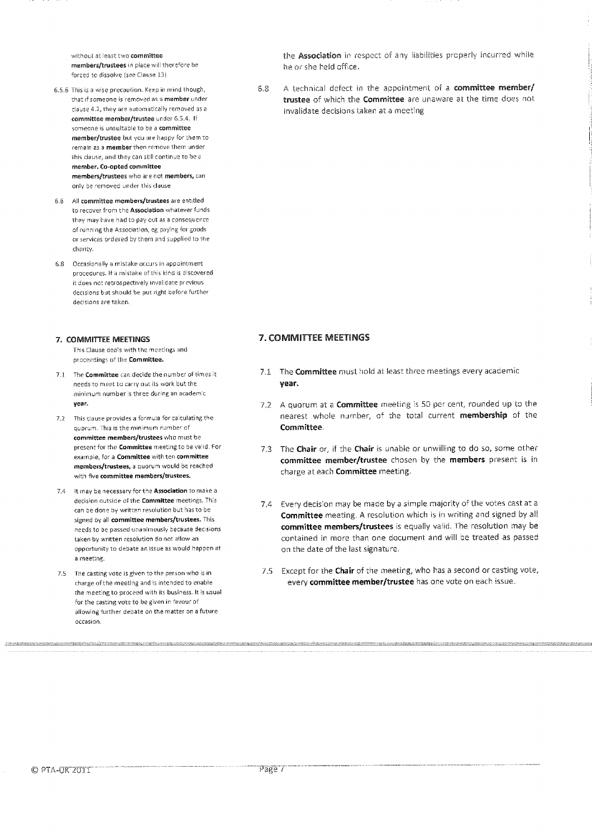without at least two committee members/trustees in place will therefore be forced to dissolve (see Clause 13).

- 6.5.6 This is a wise precaution. Keep in mind though, that if someone is removed as a member under clause 4.2, they are automatically removed as a committee member/trustee under 6.5.4. If someone is unsuitable to be a committee member/trustee but you are happy for them to remain as a member then remove them under this clause, and they can still continue to be a member. Co-opted committee members/trustees who are not members, can only be removed under this clause
- 6.6 All committee members/trustees are entitled to recover from the Association whatever funds they may have had to pay out as a consequence of running the Association, eg paying for goods or services ordered by them and supplied to the charity.
- 6.8 Occasionally a mistake occurs in appointment procedures. If a mistake of this kind is discovered it does not retrospectively invalidate previous decisions but should be put right before further decisions are taken.

#### 7. COMMITTEE MEETINGS

This Clause deals with the meetings and proceedings of the Committee.

- 7.1 The Committee can decide the number of times it needs to meet to carry out its work but the minimum number is three during an academic year.
- 7,2 This clause provides a formula for calculating the quorum. This is the minimum number of committee members/trustees who must be present for the Committee meeting to be valid. For example, for a Committee with ten committee members/trustees, a quorum would be reached with five committee members/trustees.
- 7.4 It may be necessary for the Association to make a decision outside of the Committee meetings, This can be done by written resolution but has to be signed by all committee members/trustees. This needs to be passed unanimously because decisions taken by written resolution do not allow an opportunity to debate an issue as would happen at a meeting.
- 7.5 The casting vote is given to the person who is in charge of the meeting and is intended to enable the meeting to proceed with its business. It is usual for the casting vote to be given in favour of allowing further debate on the matter on a future occasion.

the Association in respect of any liabilities properly incurred while he or she held office,

6,8 A technical defect in the appointment of a committee member/ trustee of which the Committee are unaware at the time does not invalidate decisions taken at a meeting

#### **7. COMMITTEE MEETINGS**

- 7.1 The **Committee** must hold at least three meetings every academic year.
- 7.2 A quorum at a **Committee** meeting is 50 per cent, rounded up to the nearest whole number, of the total current membership of the Committee.
- 7.3 The Chair or, if the Chair is unable or unwilling to do so, some other committee member/trustee chosen by the members present is in charge at each Committee meeting.
- 7.4 Every decision may be made by a simple majority of the votes cast at a Committee meeting. A resolution which is in writing and signed by all committee members/trustees is equally valid. The resolution may be contained in more than one document and will be treated as passed on the date of the last signature.
- 7.5 Except for the Chair of the meeting, who has a second or casting vote, every committee member/trustee has one vote on each issue.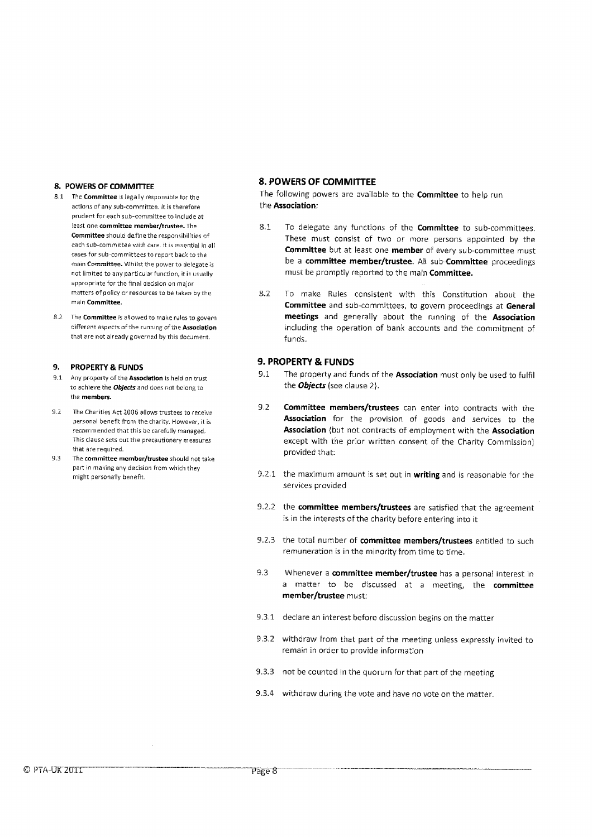#### **8. POWERS OF COMMITTEE**

- The **Committee** is legally responsible for the actions of any sub-committee. It is therefore prudent for each sub-committee to include at least one **committee member/trustee.** The **Committee** should define the responsibilities of each sub-committee with care, it is essential in all cases for sub-committees to report back to the main **Committee.** Whilst the power to delegate is not limited to any particular function, it is usually appropriate for the final decision on major matters of policy or resources to be taken by the main **Committee.**
- 8.2 The **Committee** is allowed to make rules to govern different aspects of the running ofthe **Association**  that are not already governed by this document.

#### **9. PROPERTY & FUNDS**

- 9.1 Any property of the **Association is** held on trust to achieve the Objects and does not belong to the members.
- 9.2 The Charities Act 2006 allows trustees to receive personal benefit from the charity. However, it is recommended that this be carefully managed. This clause sets out the precautionary measures that are required.
- 9.3 The **committee member/trustee** should not take part in making any decision from which they might personally benefit.

#### **8. POWERS OF COMMITTEE**

The following powers are available to the **Committee** to help run the **Association:** 

- 8.1 To delegate any functions of the **Committee** to sub-committees. These must consist of two or more persons appointed by the **Committee** but at least one **member** of every sub-committee must be a **committee member/trustee**. All sub-**Committee** proceedings must be promptly reported to the main **Committee.**
- 8.2 To make Rules consistent with this Constitution about the **Committee** and sub-committees, to govern proceedings at **General meetings** and generally about the running of the **Association**  including the operation of bank accounts and the commitment of funds.

#### **9. PROPERTY & FUNDS**

- 9.1 The property and funds of the **Association** must only be used to fulfil the *Objects* (see clause 2).
- 9.2 **Committee members/trustees** can enter into contracts with the **Association** for the provision of goods and services to the **Association** (but not contracts of employment with the **Association**  except with the prior written consent of the Charity Commission) provided that:
- 92.1 the maximum amount is set out in **writing** and is reasonable for the services provided
- 9,2.2 the **committee members/trustees** are satisfied that the agreement is in the interests of the charity before entering into it
- 9.2.3 the total number of **committee members/trustees** entitled to such remuneration is in the minority from time to time.
- 9.3 Whenever a **committee member/trustee** has a personal interest in a matter to be discussed at a meeting, the **committee member/trustee** must:
- 9.3.1 declare an interest before discussion begins on the matter
- 9.3.2 withdraw from that part of the meeting unless expressly invited to remain in order to provide information
- 9.3.3 not be counted in the quorum for that part of the meeting
- 9.3.4 withdraw during the vote and have no vote on the matter.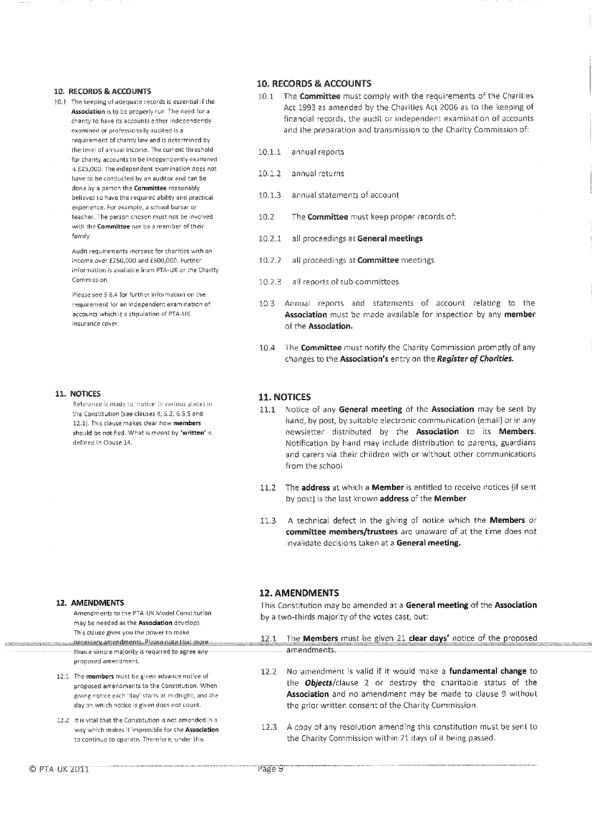#### 10. RECORDS & ACCOUNTS

10.1 The keeping of adequate records is essential if the Association is to be properly run. The need for a charity to have its accounts either independently examined or professionally audited is a requirement of charity law and is determined by the level of annual income. The current threshold for charity accounts to be independently examined is £25,000. The independent examination does not have to be conducted by an auditor and can be done by a person the Committee reasonably believes to have the required ability and practical experience. For example, a school bursar or teacher, The person chosen must not be involved with the Committee nor be a member of their family.

> Audit requirements increase for charities with an income over £250,000 and E500,000. Further information is available from PTA-UK or ihe Charity Commission,

Please see 5.8,4 for further information on the requirement for an independent examination of accounts which is a stipulation of PTA-UK insurance cover.

#### 11. NOTICES

Reference is made. to 'notice' in various places in the Constitution (see clauses 4,5.2, 6.5,5 and 12.1). This clause makes clear how members should be notified. What is meant by 'written' is defined in Clause 14.

#### **12. AMENDMENTS**

proposed amendment.

Amendments to the PTA-UK Model Constitution may be needed as the Association develops. This clause gives you the power to make than a simple majority is required to agree any amendments.

- 12.1 The **members** must be given advance notice of proposed amendments to the Constitution, When giving notice each 'day' starts at midnight, and the day on which notice is given does not count.
- 12.2 It is vital that the Constitution is not amended in a way which makes it impossible for the Association to continue to operate. Therefore, under this

#### **10. RECORDS & ACCOUNTS**

- 10.1 The **Committee** must comply with the requirements of the Charities Act 1993 as amended by the Charities Act 2006 as to the keeping of financial records, the audit or independent examination of accounts and the preparation and transmission to the Charity Commission of:
- 10.1.1 annual reports
- 10.1,2 annual returns
- 10.1.3 annual statements of account
- 10.2 The **Committee** must keep proper records of:
- 10.2.1 all proceedings at **General meetings**
- 10.2.2 all proceedings at **Committee** meetings
- 10.2.3 all reports of sub-committees
- 10.3 Annual reports and statements of account relating to the **Association** must be made available for inspection by any **member**  of the **Association.**
- 10.4 The **Committee** must notify the Charity Commission promptly of any changes to the **Association's** entry on the Register of Charities.

#### **11. NOTICES**

- 11.1 Notice of any **General meeting** of the **Association** may be sent by hand, by post, by suitable electronic communication (email) or in any newsletter distributed by the **Association** to its **Members.**  Notification by hand may include distribution to parents, guardians and carers via their children with or without other communications from the school
- 11.2 The **address** at which a **Member** is entitled to receive notices (if sent by post) is the last known **address** of the **Member**
- 11.3 A technical defect in the giving of notice which the **Members** or **committee members/trustees** are unaware of at the time does not invalidate decisions taken at a **General meeting.**

#### **12. AMENDMENTS**

This Constitution may be amended at a **General meeting** of the **Association**  by a two-thirds majority of the votes cast, but:

- 12 1 The **Members** must be given 21 **clear days'** notice of the proposed
- 12.2 No amendment is valid if it would make a **fundamental change** to the Objects/clause 2 or destroy the charitable status of the **Association** and no amendment may be made to clause 9 without the prior written consent of the Charity Commission.
- 12.3 A copy of any resolution amending this constitution must be sent to the Charity Commission within 21 days of it being passed.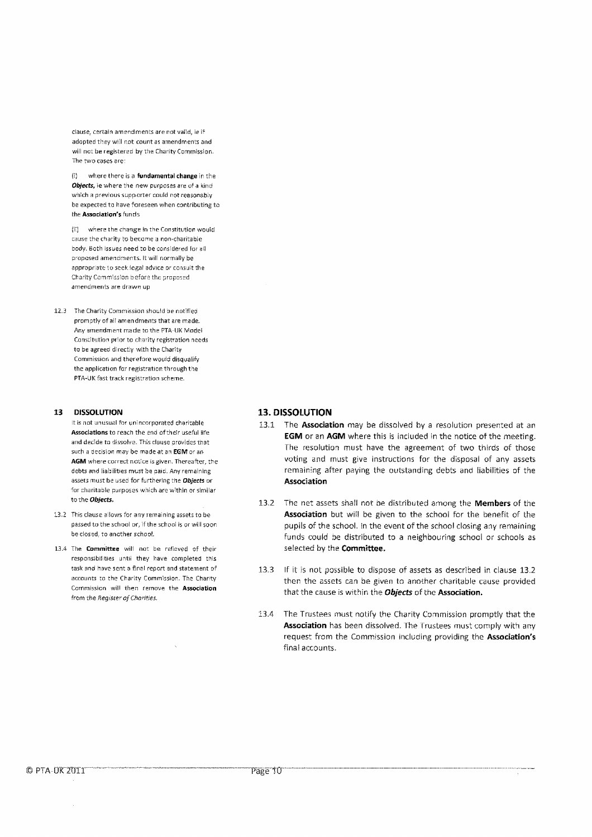clause, certain amendments are not valid, ie if adopted they will not count as amendments and will not be registered by the Charity Commission. The two cases are

(1) where there is a fundamental change in the **Objects,** ie where the new purposes are of a kind which a previous supporter could not reasonably be expected to have foreseen when contributing to the **Association's** funds

(ii) where the change in the Constitution would muse the charity to became a non-charitable body. Both issues need to be considered for all proposed amendments. It will normally be appropriate to seek legal advice or consult the Charity Commission before the proposed amendments are drawn up

12.3 The Charity Commission should be notified promptly of all amendments that are made. Any amendment made to the PTA-UK Model Constitution prior to charity registration needs to be agreed directly with the Charity Commission and therefore would disqualify the application for registration through the PTA-UK fast track registration scheme.

#### **13 DISSOLUTION**

It is not unusual for unincorporated charitable **Associations** to reach the and of their useful life and decide to dissolve. This clause provides that such a decision may be made at an **EGIVI** or an **AGM** where correct notice is given. Thereafter, the debts and liabilities must be paid. Any remaining assets must be used for furthering the **Objects** or for charitable purposes which are within or similar to the **Objects.** 

- 13.2 This clause allows for any remaining assets to be passed to the school or, if the school is or will soon be closed, to another school.
- 13.4 The **Committee** will not be relieved of their responsibilities until they have completed this task and have sent a final report and statement of accounts to the Charity Commission. The Charity Commission **will** then remove the **Association**  from the Register of Charities.

#### **13. DISSOLUTION**

- 13.1 The **Association** may be dissolved by a resolution presented at an **EGM** or an **AGM** where this is included in the notice of the meeting. The resolution must have the agreement of two thirds of those voting and must give instructions for the disposal of any assets remaining after paying the outstanding debts and liabilities of the **Association**
- 13.2 The net assets shall not be distributed among the **Members** of the **Association** but will be given to the school for the benefit of the pupils of the school. In the event of the school closing any remaining funds could be distributed to a neighbouring school or schools as selected by the **Committee.**
- 13.3 If it is not possible to dispose of assets as described in clause 13.2 then the assets can be given to another charitable cause provided that the cause is within the *Objects* of the **Association.**
- 13.4 The Trustees must notify the Charity Commission promptly that the **Association** has been dissolved. The Trustees must comply with any request from the Commission including providing the **Association's**  final accounts.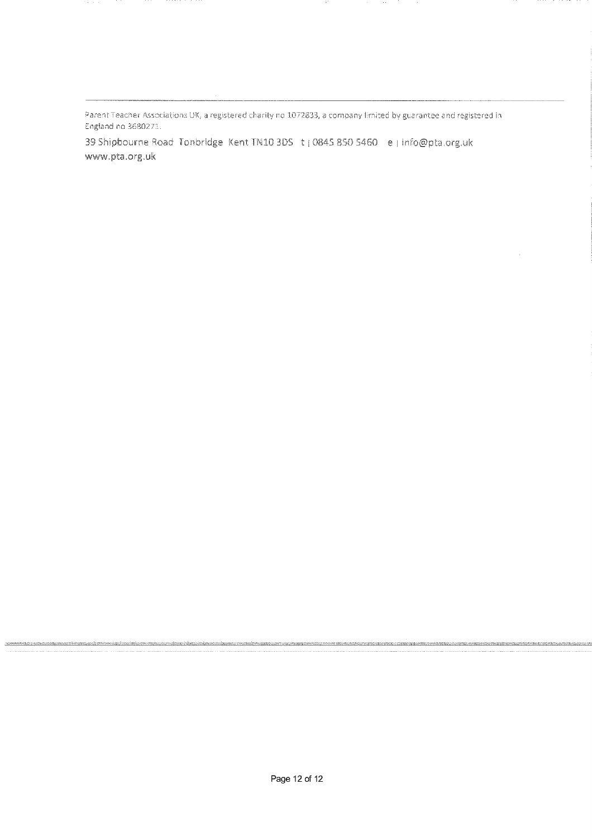Parent Teacher Associations UK, a registered charity no 1072833, a company limited by guarantee and registered in England no 35&0272..

39 Shipbourne Road. Tonbridge: Kent TN10 3DS t (0845 850 5460 e | info@pta.org.uk www.pta.org.uk